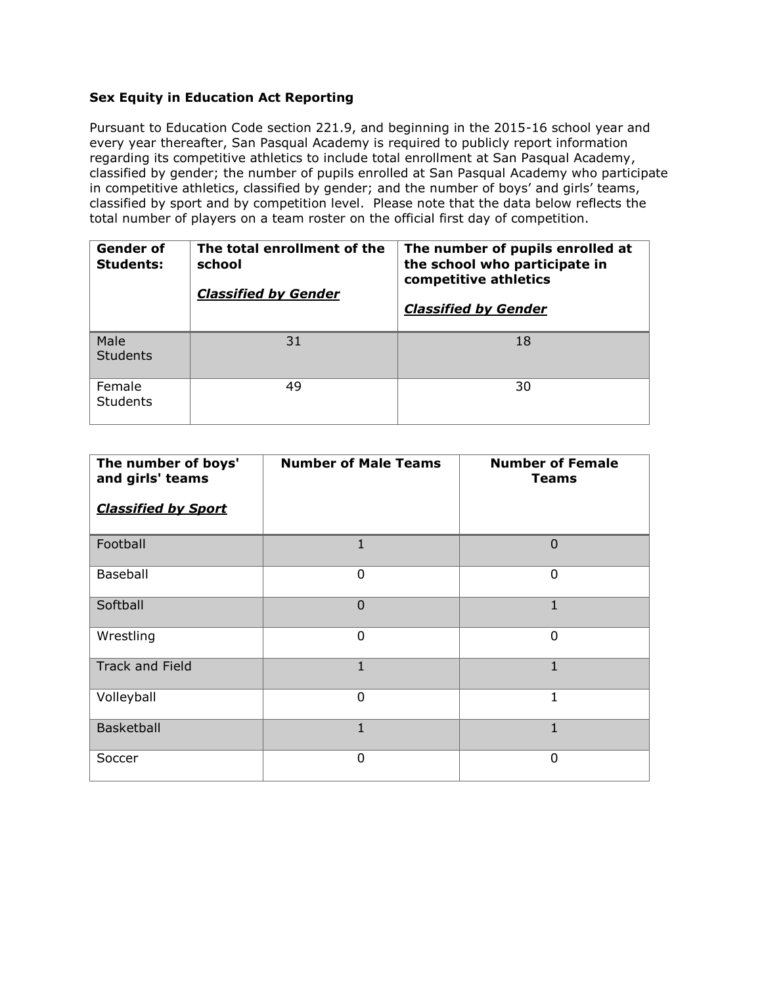## **Sex Equity in Education Act Reporting**

Pursuant to Education Code section 221.9, and beginning in the 2015-16 school year and every year thereafter, San Pasqual Academy is required to publicly report information regarding its competitive athletics to include total enrollment at San Pasqual Academy, classified by gender; the number of pupils enrolled at San Pasqual Academy who participate in competitive athletics, classified by gender; and the number of boys' and girls' teams, classified by sport and by competition level. Please note that the data below reflects the total number of players on a team roster on the official first day of competition.

| Gender of<br><b>Students:</b> | The total enrollment of the<br>school<br><b>Classified by Gender</b> | The number of pupils enrolled at<br>the school who participate in<br>competitive athletics<br><b>Classified by Gender</b> |
|-------------------------------|----------------------------------------------------------------------|---------------------------------------------------------------------------------------------------------------------------|
| Male<br><b>Students</b>       | 31                                                                   | 18                                                                                                                        |
| Female<br><b>Students</b>     | 49                                                                   | 30                                                                                                                        |

| The number of boys'<br>and girls' teams<br><b>Classified by Sport</b> | <b>Number of Male Teams</b> | <b>Number of Female</b><br><b>Teams</b> |
|-----------------------------------------------------------------------|-----------------------------|-----------------------------------------|
|                                                                       |                             |                                         |
| Football                                                              | 1                           | $\Omega$                                |
| Baseball                                                              | 0                           | 0                                       |
| Softball                                                              | $\overline{0}$              | 1                                       |
| Wrestling                                                             | 0                           | 0                                       |
| <b>Track and Field</b>                                                | $\mathbf{1}$                | $\mathbf{1}$                            |
| Volleyball                                                            | 0                           | 1                                       |
| Basketball                                                            | 1                           | 1                                       |
| Soccer                                                                | 0                           | 0                                       |